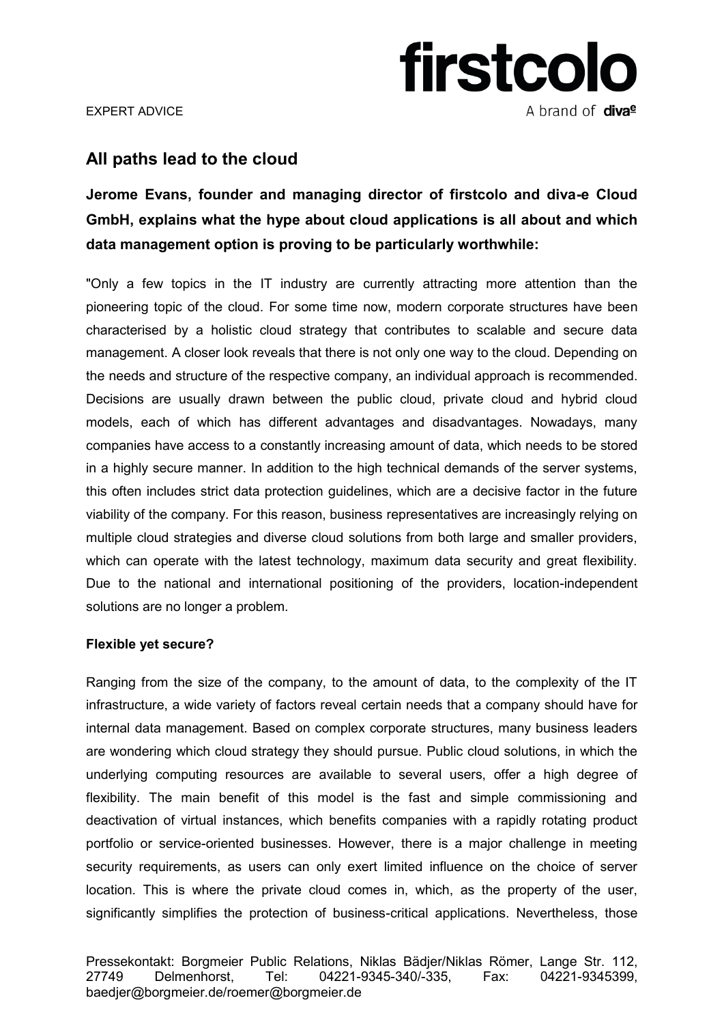

EXPERT ADVICE Ī

## **All paths lead to the cloud**

**Jerome Evans, founder and managing director of firstcolo and diva-e Cloud GmbH, explains what the hype about cloud applications is all about and which data management option is proving to be particularly worthwhile:** 

"Only a few topics in the IT industry are currently attracting more attention than the pioneering topic of the cloud. For some time now, modern corporate structures have been characterised by a holistic cloud strategy that contributes to scalable and secure data management. A closer look reveals that there is not only one way to the cloud. Depending on the needs and structure of the respective company, an individual approach is recommended. Decisions are usually drawn between the public cloud, private cloud and hybrid cloud models, each of which has different advantages and disadvantages. Nowadays, many companies have access to a constantly increasing amount of data, which needs to be stored in a highly secure manner. In addition to the high technical demands of the server systems, this often includes strict data protection guidelines, which are a decisive factor in the future viability of the company. For this reason, business representatives are increasingly relying on multiple cloud strategies and diverse cloud solutions from both large and smaller providers, which can operate with the latest technology, maximum data security and great flexibility. Due to the national and international positioning of the providers, location-independent solutions are no longer a problem.

### **Flexible yet secure?**

Ranging from the size of the company, to the amount of data, to the complexity of the IT infrastructure, a wide variety of factors reveal certain needs that a company should have for internal data management. Based on complex corporate structures, many business leaders are wondering which cloud strategy they should pursue. Public cloud solutions, in which the underlying computing resources are available to several users, offer a high degree of flexibility. The main benefit of this model is the fast and simple commissioning and deactivation of virtual instances, which benefits companies with a rapidly rotating product portfolio or service-oriented businesses. However, there is a major challenge in meeting security requirements, as users can only exert limited influence on the choice of server location. This is where the private cloud comes in, which, as the property of the user, significantly simplifies the protection of business-critical applications. Nevertheless, those